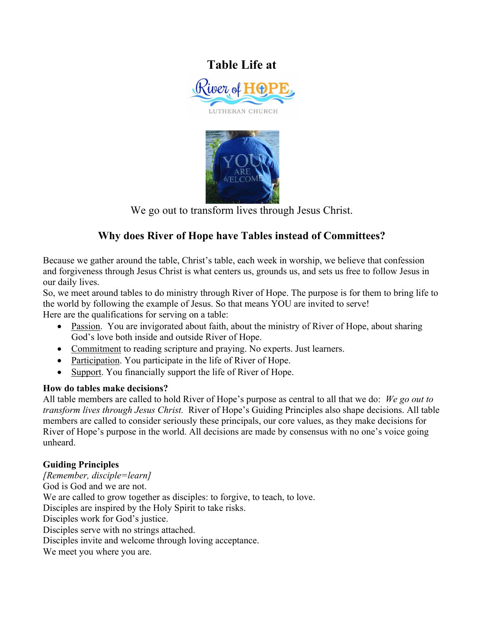# **Table Life at**  River of **F** LUTHERAN CHURCH



We go out to transform lives through Jesus Christ.

## **Why does River of Hope have Tables instead of Committees?**

Because we gather around the table, Christ's table, each week in worship, we believe that confession and forgiveness through Jesus Christ is what centers us, grounds us, and sets us free to follow Jesus in our daily lives.

So, we meet around tables to do ministry through River of Hope. The purpose is for them to bring life to the world by following the example of Jesus. So that means YOU are invited to serve! Here are the qualifications for serving on a table:

- Passion. You are invigorated about faith, about the ministry of River of Hope, about sharing God's love both inside and outside River of Hope.
- Commitment to reading scripture and praying. No experts. Just learners.
- Participation. You participate in the life of River of Hope.
- Support. You financially support the life of River of Hope.

#### **How do tables make decisions?**

All table members are called to hold River of Hope's purpose as central to all that we do: *We go out to transform lives through Jesus Christ.* River of Hope's Guiding Principles also shape decisions. All table members are called to consider seriously these principals, our core values, as they make decisions for River of Hope's purpose in the world. All decisions are made by consensus with no one's voice going unheard.

### **Guiding Principles**

*[Remember, disciple=learn]*  God is God and we are not. We are called to grow together as disciples: to forgive, to teach, to love. Disciples are inspired by the Holy Spirit to take risks. Disciples work for God's justice. Disciples serve with no strings attached. Disciples invite and welcome through loving acceptance. We meet you where you are.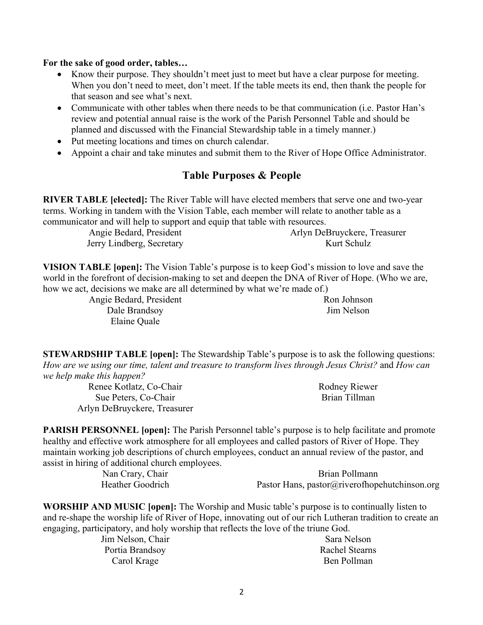#### **For the sake of good order, tables…**

- Know their purpose. They shouldn't meet just to meet but have a clear purpose for meeting. When you don't need to meet, don't meet. If the table meets its end, then thank the people for that season and see what's next.
- Communicate with other tables when there needs to be that communication (i.e. Pastor Han's review and potential annual raise is the work of the Parish Personnel Table and should be planned and discussed with the Financial Stewardship table in a timely manner.)
- Put meeting locations and times on church calendar.
- Appoint a chair and take minutes and submit them to the River of Hope Office Administrator.

#### **Table Purposes & People**

**RIVER TABLE [elected]:** The River Table will have elected members that serve one and two-year terms. Working in tandem with the Vision Table, each member will relate to another table as a communicator and will help to support and equip that table with resources.

> Angie Bedard, President Jerry Lindberg, Secretary Arlyn DeBruyckere, Treasurer Kurt Schulz

**VISION TABLE [open]:** The Vision Table's purpose is to keep God's mission to love and save the world in the forefront of decision-making to set and deepen the DNA of River of Hope. (Who we are, how we act, decisions we make are all determined by what we're made of.)

> Angie Bedard, President Dale Brandsoy Elaine Quale

Ron Johnson Jim Nelson

**STEWARDSHIP TABLE [open]:** The Stewardship Table's purpose is to ask the following questions: *How are we using our time, talent and treasure to transform lives through Jesus Christ?* and *How can we help make this happen?*

Renee Kotlatz, Co-Chair Sue Peters, Co-Chair Arlyn DeBruyckere, Treasurer Rodney Riewer Brian Tillman

**PARISH PERSONNEL [open]:** The Parish Personnel table's purpose is to help facilitate and promote healthy and effective work atmosphere for all employees and called pastors of River of Hope. They maintain working job descriptions of church employees, conduct an annual review of the pastor, and assist in hiring of additional church employees.

Nan Crary, Chair Heather Goodrich

Brian Pollmann Pastor Hans, pastor@riverofhopehutchinson.org

**WORSHIP AND MUSIC [open]:** The Worship and Music table's purpose is to continually listen to and re-shape the worship life of River of Hope, innovating out of our rich Lutheran tradition to create an engaging, participatory, and holy worship that reflects the love of the triune God.

> Jim Nelson, Chair Portia Brandsoy Carol Krage

Sara Nelson Rachel Stearns Ben Pollman